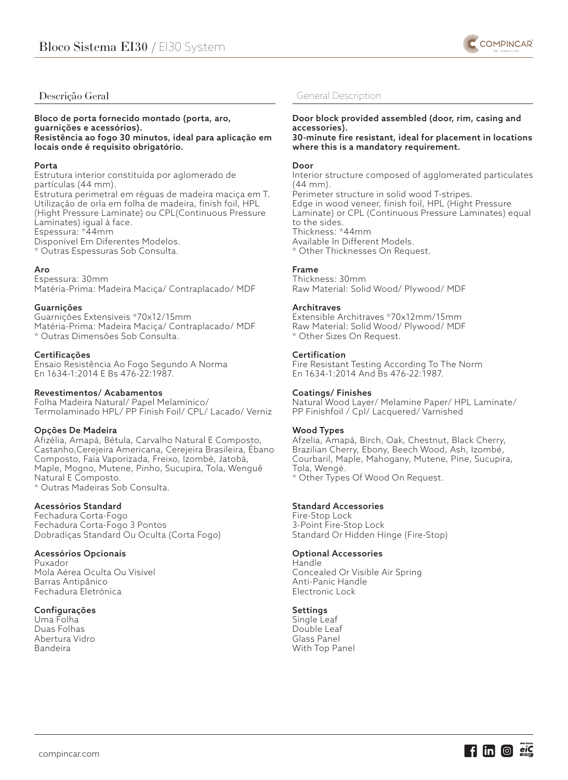

# Descrição Geral

## Bloco de porta fornecido montado (porta, aro, guarnições e acessórios). Resistência ao fogo 30 minutos, ideal para aplicação em locais onde é requisito obrigatório.

## Porta

Estrutura interior constituída por aglomerado de partículas (44 mm). Estrutura perimetral em réguas de madeira maciça em T. Utilização de orla em folha de madeira, finish foil, HPL (Hight Pressure Laminate) ou CPL(Continuous Pressure Laminates) igual à face. Espessura: \*44mm Disponível Em Diferentes Modelos. \* Outras Espessuras Sob Consulta.

## Aro

Espessura: 30mm Matéria-Prima: Madeira Maciça/ Contraplacado/ MDF

## Guarnições

Guarnições Extensíveis \*70x12/15mm Matéria-Prima: Madeira Maciça/ Contraplacado/ MDF \* Outras Dimensões Sob Consulta.

## Certificações

Ensaio Resistência Ao Fogo Segundo A Norma En 1634-1:2014 E Bs 476-22:1987.

# Revestimentos/ Acabamentos

Folha Madeira Natural/ Papel Melamínico/ Termolaminado HPL/ PP Finish Foil/ CPL/ Lacado/ Verniz

# Opções De Madeira

Afizélia, Amapá, Bétula, Carvalho Natural E Composto, Castanho,Cerejeira Americana, Cerejeira Brasileira, Ébano Composto, Faia Vaporizada, Freixo, Izombé, Jatobá, Maple, Mogno, Mutene, Pinho, Sucupira, Tola, Wenguê Natural E Composto. \* Outras Madeiras Sob Consulta.

# Acessórios Standard

Fechadura Corta-Fogo Fechadura Corta-Fogo 3 Pontos Dobradiças Standard Ou Oculta (Corta Fogo)

# Acessórios Opcionais

Puxador Mola Aérea Oculta Ou Visível Barras Antipânico Fechadura Eletrónica

### Configurações

Uma Folha Duas Folhas Abertura Vidro Bandeira

# General Description

# Door block provided assembled (door, rim, casing and accessories).

30-minute fire resistant, ideal for placement in locations where this is a mandatory requirement.

### Door

Interior structure composed of agglomerated particulates (44 mm). Perimeter structure in solid wood T-stripes. Edge in wood veneer, finish foil, HPL (Hight Pressure Laminate) or CPL (Continuous Pressure Laminates) equal to the sides. Thickness: \*44mm Available In Different Models. \* Other Thicknesses On Request.

## Frame

Thickness: 30mm Raw Material: Solid Wood/ Plywood/ MDF

## Architraves

Extensible Architraves \*70x12mm/15mm Raw Material: Solid Wood/ Plywood/ MDF \* Other Sizes On Request.

### Certification

Fire Resistant Testing According To The Norm En 1634-1:2014 And Bs 476-22:1987.

### Coatings/ Finishes

Natural Wood Layer/ Melamine Paper/ HPL Laminate/ PP Finishfoil / Cpl/ Lacquered/ Varnished

### Wood Types

Afzelia, Amapá, Birch, Oak, Chestnut, Black Cherry, Brazilian Cherry, Ebony, Beech Wood, Ash, Izombé, Courbaril, Maple, Mahogany, Mutene, Pine, Sucupira, Tola, Wengé. \* Other Types Of Wood On Request.

Standard Accessories

Fire-Stop Lock 3-Point Fire-Stop Lock Standard Or Hidden Hinge (Fire-Stop)

# Optional Accessories

Handle Concealed Or Visible Air Spring Anti-Panic Handle Electronic Lock

### Settings

Single Leaf Double Leaf Glass Panel With Top Panel